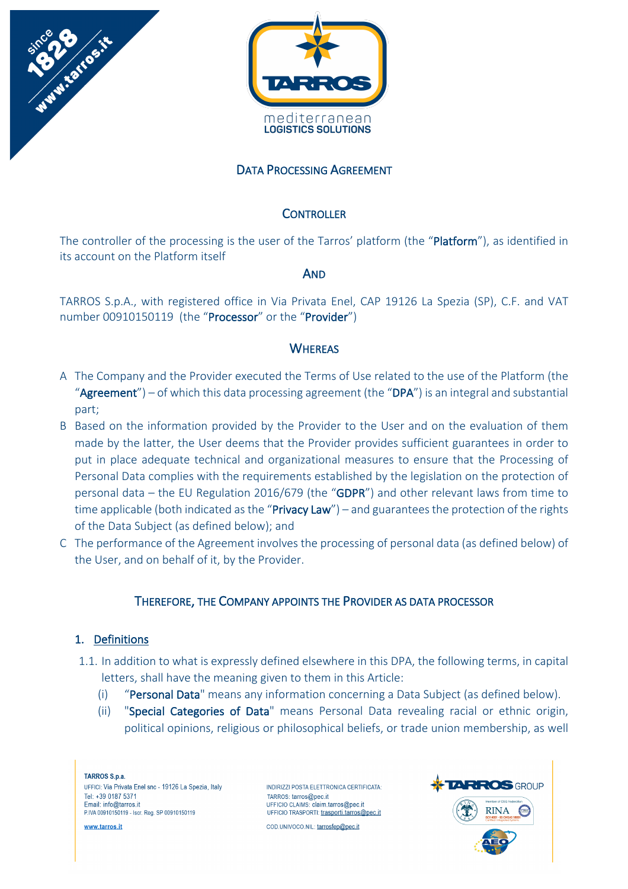



# DATA PROCESSING AGREEMENT

### **CONTROLLER**

The controller of the processing is the user of the Tarros' platform (the "Platform"), as identified in its account on the Platform itself

### AND

TARROS S.p.A., with registered office in Via Privata Enel, CAP 19126 La Spezia (SP), C.F. and VAT number 00910150119 (the "Processor" or the "Provider")

# **WHEREAS**

- A The Company and the Provider executed the Terms of Use related to the use of the Platform (the "Agreement") – of which this data processing agreement (the "DPA") is an integral and substantial part;
- B Based on the information provided by the Provider to the User and on the evaluation of them made by the latter, the User deems that the Provider provides sufficient guarantees in order to put in place adequate technical and organizational measures to ensure that the Processing of Personal Data complies with the requirements established by the legislation on the protection of personal data – the EU Regulation 2016/679 (the "GDPR") and other relevant laws from time to time applicable (both indicated as the "**Privacy Law**") – and guarantees the protection of the rights of the Data Subject (as defined below); and
- C The performance of the Agreement involves the processing of personal data (as defined below) of the User, and on behalf of it, by the Provider.

### THEREFORE, THE COMPANY APPOINTS THE PROVIDER AS DATA PROCESSOR

### 1. Definitions

- 1.1. In addition to what is expressly defined elsewhere in this DPA, the following terms, in capital letters, shall have the meaning given to them in this Article:
	- (i) "Personal Data" means any information concerning a Data Subject (as defined below).
	- (ii) "Special Categories of Data" means Personal Data revealing racial or ethnic origin, political opinions, religious or philosophical beliefs, or trade union membership, as well

**TARROS S.p.a.** UFFICI: Via Privata Enel snc - 19126 La Spezia, Italy Tel: +39 0187 5371 Email: info@tarros.it P.IVA 00910150119 - Iscr. Reg. SP 00910150119

www.tarros.it

INDIRIZZI POSTA FI FTTRONICA CERTIFICATA: TARROS: tarros@pec.it UFFICIO CLAIMS: claim.tarros@pec.it UFFICIO TRASPORTI: trasporti.tarros@pec.it

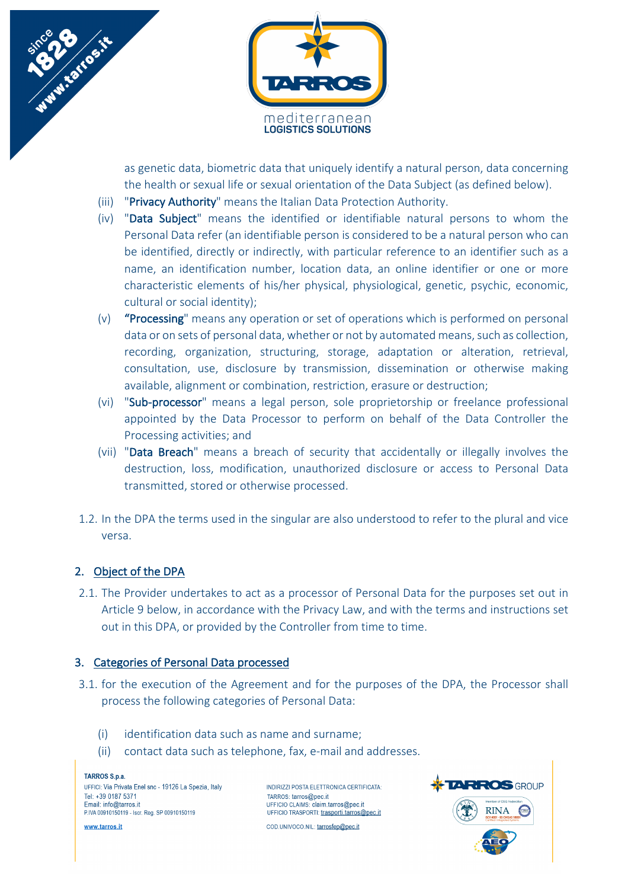



as genetic data, biometric data that uniquely identify a natural person, data concerning the health or sexual life or sexual orientation of the Data Subject (as defined below).

- (iii) "Privacy Authority" means the Italian Data Protection Authority.
- (iv) "Data Subject" means the identified or identifiable natural persons to whom the Personal Data refer (an identifiable person is considered to be a natural person who can be identified, directly or indirectly, with particular reference to an identifier such as a name, an identification number, location data, an online identifier or one or more characteristic elements of his/her physical, physiological, genetic, psychic, economic, cultural or social identity);
- (v) "Processing" means any operation or set of operations which is performed on personal data or on sets of personal data, whether or not by automated means, such as collection, recording, organization, structuring, storage, adaptation or alteration, retrieval, consultation, use, disclosure by transmission, dissemination or otherwise making available, alignment or combination, restriction, erasure or destruction;
- (vi) "Sub-processor" means a legal person, sole proprietorship or freelance professional appointed by the Data Processor to perform on behalf of the Data Controller the Processing activities; and
- (vii) "Data Breach" means a breach of security that accidentally or illegally involves the destruction, loss, modification, unauthorized disclosure or access to Personal Data transmitted, stored or otherwise processed.
- 1.2. In the DPA the terms used in the singular are also understood to refer to the plural and vice versa.

# 2. Object of the DPA

2.1. The Provider undertakes to act as a processor of Personal Data for the purposes set out in Article 9 below, in accordance with the Privacy Law, and with the terms and instructions set out in this DPA, or provided by the Controller from time to time.

# 3. Categories of Personal Data processed

- 3.1. for the execution of the Agreement and for the purposes of the DPA, the Processor shall process the following categories of Personal Data:
	- (i) identification data such as name and surname;
	- (ii) contact data such as telephone, fax, e-mail and addresses.

**TARROS S.p.a.** UFFICI: Via Privata Enel snc - 19126 La Spezia, Italy Tel: +39 0187 5371 Email: info@tarros.it P.IVA 00910150119 - Iscr. Reg. SP 00910150119

www.tarros.it

INDIRIZZI POSTA ELETTRONICA CERTIFICATA: TARROS: tarros@pec.it UFFICIO CLAIMS: claim.tarros@pec.it UFFICIO TRASPORTI: trasporti.tarros@pec.it COD.UNIVOCO.NIL: tarrosfep@pec.it

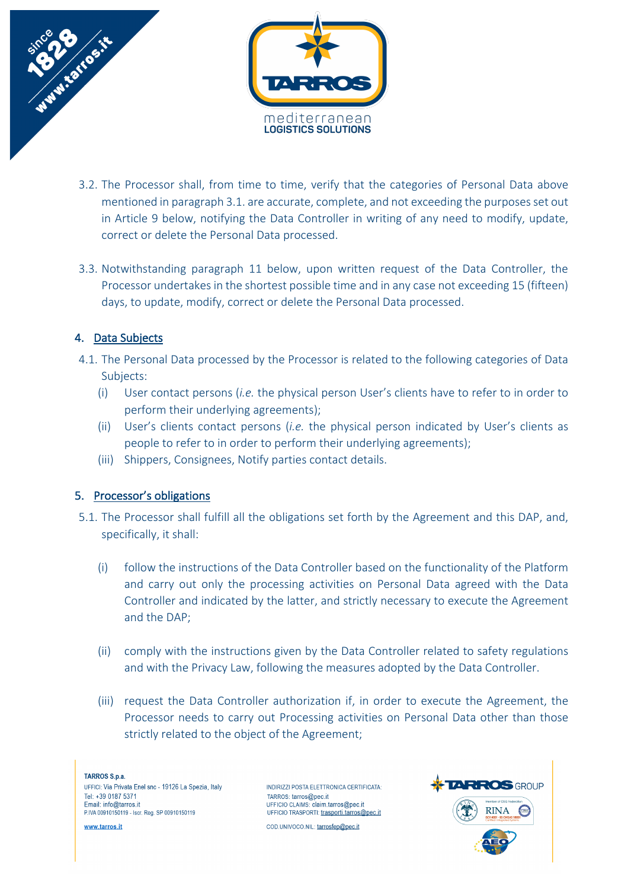

- 3.2. The Processor shall, from time to time, verify that the categories of Personal Data above mentioned in paragraph 3.1. are accurate, complete, and not exceeding the purposes set out in Article 9 below, notifying the Data Controller in writing of any need to modify, update, correct or delete the Personal Data processed.
- 3.3. Notwithstanding paragraph 11 below, upon written request of the Data Controller, the Processor undertakes in the shortest possible time and in any case not exceeding 15 (fifteen) days, to update, modify, correct or delete the Personal Data processed.

# 4. Data Subjects

- 4.1. The Personal Data processed by the Processor is related to the following categories of Data Subjects:
	- (i) User contact persons (*i.e.* the physical person User's clients have to refer to in order to perform their underlying agreements);
	- (ii) User's clients contact persons (*i.e.* the physical person indicated by User's clients as people to refer to in order to perform their underlying agreements);
	- (iii) Shippers, Consignees, Notify parties contact details.

### 5. Processor's obligations

- 5.1. The Processor shall fulfill all the obligations set forth by the Agreement and this DAP, and, specifically, it shall:
	- (i) follow the instructions of the Data Controller based on the functionality of the Platform and carry out only the processing activities on Personal Data agreed with the Data Controller and indicated by the latter, and strictly necessary to execute the Agreement and the DAP;
	- (ii) comply with the instructions given by the Data Controller related to safety regulations and with the Privacy Law, following the measures adopted by the Data Controller.
	- (iii) request the Data Controller authorization if, in order to execute the Agreement, the Processor needs to carry out Processing activities on Personal Data other than those strictly related to the object of the Agreement;

**TARROS S.p.a.** UFFICI: Via Privata Enel snc - 19126 La Spezia, Italy Tel: +39 0187 5371 Email: info@tarros.it P.IVA 00910150119 - Iscr. Reg. SP 00910150119

www.tarros.it

INDIRIZZI POSTA FI FTTRONICA CERTIFICATA: TARROS: tarros@pec.it UFFICIO CLAIMS: claim.tarros@pec.it UFFICIO TRASPORTI: trasporti.tarros@pec.it



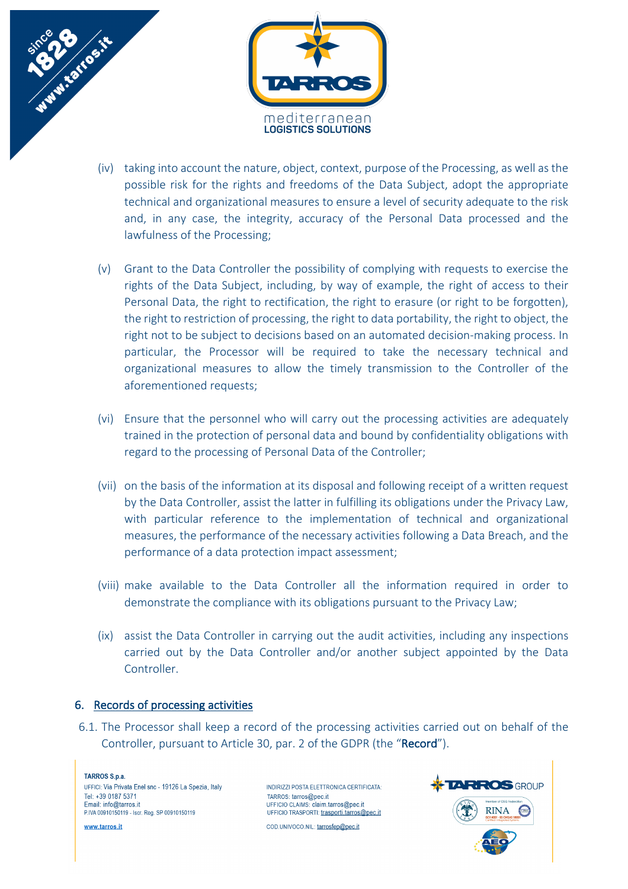

- (iv) taking into account the nature, object, context, purpose of the Processing, as well as the possible risk for the rights and freedoms of the Data Subject, adopt the appropriate technical and organizational measures to ensure a level of security adequate to the risk and, in any case, the integrity, accuracy of the Personal Data processed and the lawfulness of the Processing;
- (v) Grant to the Data Controller the possibility of complying with requests to exercise the rights of the Data Subject, including, by way of example, the right of access to their Personal Data, the right to rectification, the right to erasure (or right to be forgotten), the right to restriction of processing, the right to data portability, the right to object, the right not to be subject to decisions based on an automated decision-making process. In particular, the Processor will be required to take the necessary technical and organizational measures to allow the timely transmission to the Controller of the aforementioned requests;
- (vi) Ensure that the personnel who will carry out the processing activities are adequately trained in the protection of personal data and bound by confidentiality obligations with regard to the processing of Personal Data of the Controller;
- (vii) on the basis of the information at its disposal and following receipt of a written request by the Data Controller, assist the latter in fulfilling its obligations under the Privacy Law, with particular reference to the implementation of technical and organizational measures, the performance of the necessary activities following a Data Breach, and the performance of a data protection impact assessment;
- (viii) make available to the Data Controller all the information required in order to demonstrate the compliance with its obligations pursuant to the Privacy Law;
- (ix) assist the Data Controller in carrying out the audit activities, including any inspections carried out by the Data Controller and/or another subject appointed by the Data Controller.

### 6. Records of processing activities

6.1. The Processor shall keep a record of the processing activities carried out on behalf of the Controller, pursuant to Article 30, par. 2 of the GDPR (the "Record").

**TARROS S.p.a.** UEFICI: Via Privata Enel snc - 19126 La Snezia Italy Tel: +30 0187 5371 Email: info@tarros.it P.IVA 00910150119 - Iscr. Reg. SP 00910150119

www.tarros.it

INDIRIZZI POSTA ELETTRONICA CERTIFICATA: TARROS: tarros@pec.it UFFICIO CLAIMS: claim.tarros@pec.it UFFICIO TRASPORTI: trasporti.tarros@pec.it COD.UNIVOCO.NIL: tarrosfep@pec.it

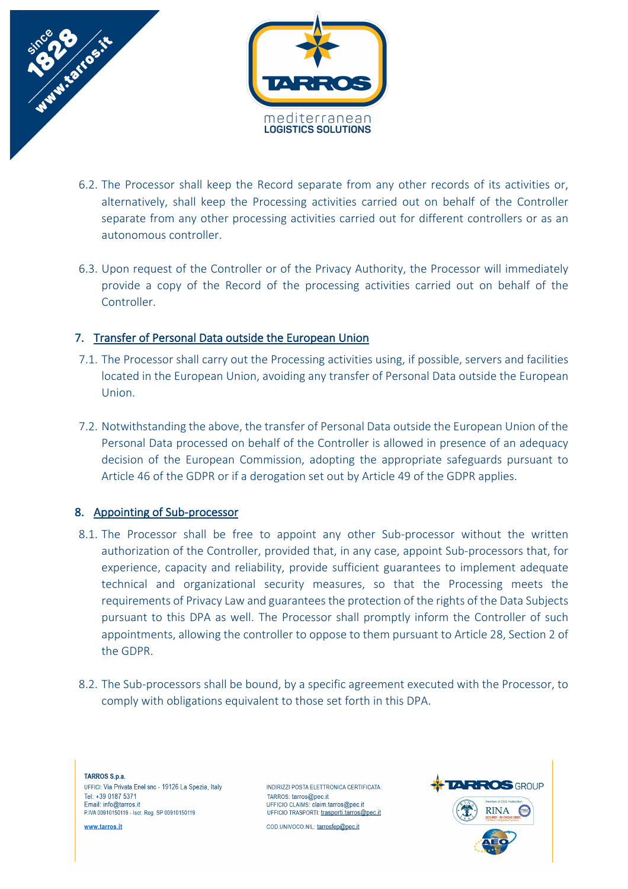

- 6.2. The Processor shall keep the Record separate from any other records of its activities or, alternatively, shall keep the Processing activities carried out on behalf of the Controller separate from any other processing activities carried out for different controllers or as an autonomous controller.
- 6.3. Upon request of the Controller or of the Privacy Authority, the Processor will immediately provide a copy of the Record of the processing activities carried out on behalf of the Controller.

### 7. Transfer of Personal Data outside the European Union

- 7.1. The Processor shall carry out the Processing activities using, if possible, servers and facilities located in the European Union, avoiding any transfer of Personal Data outside the European Union.
- 7.2. Notwithstanding the above, the transfer of Personal Data outside the European Union of the Personal Data processed on behalf of the Controller is allowed in presence of an adequacy decision of the European Commission, adopting the appropriate safeguards pursuant to Article 46 of the GDPR or if a derogation set out by Article 49 of the GDPR applies.

#### 8. Appointing of Sub-processor

- 8.1. The Processor shall be free to appoint any other Sub-processor without the written authorization of the Controller, provided that, in any case, appoint Sub-processors that, for experience, capacity and reliability, provide sufficient guarantees to implement adequate technical and organizational security measures, so that the Processing meets the requirements of Privacy Law and guarantees the protection of the rights of the Data Subjects pursuant to this DPA as well. The Processor shall promptly inform the Controller of such appointments, allowing the controller to oppose to them pursuant to Article 28, Section 2 of the GDPR.
- 8.2. The Sub-processors shall be bound, by a specific agreement executed with the Processor, to comply with obligations equivalent to those set forth in this DPA.

**TARROS S.p.a.** UFFICI: Via Privata Enel snc - 19126 La Spezia, Italy Tel: +30 0187 5371 Email: info@tarros.it P.IVA 00910150119 - Iscr. Reg. SP 00910150119

www.tarros.it

INDIRIZZI POSTA ELETTRONICA CERTIFICATA: TARROS: tarros@pec.it UFFICIO CLAIMS: claim.tarros@pec.it UFFICIO TRASPORTI: trasporti.tarros@pec.it

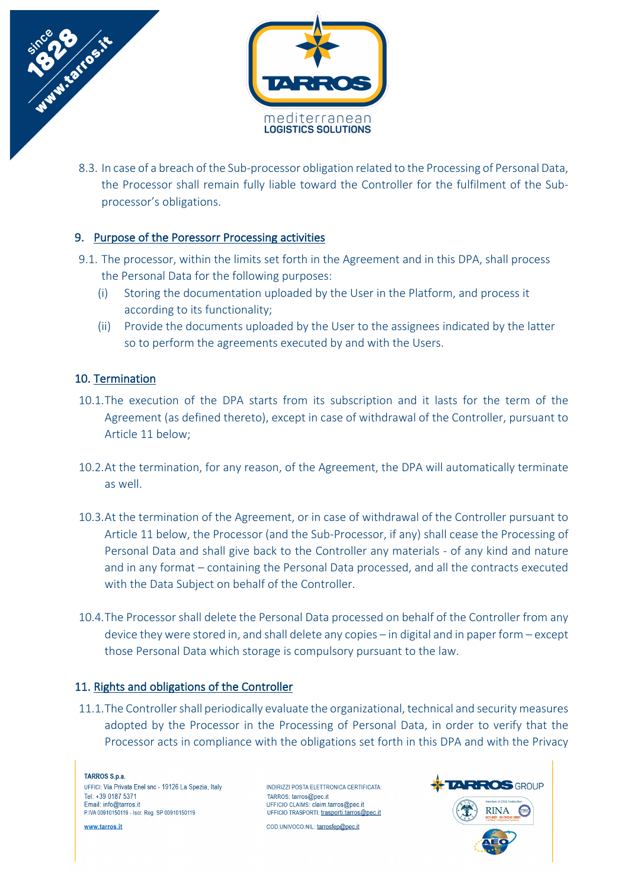

8.3. In case of a breach of the Sub-processor obligation related to the Processing of Personal Data, the Processor shall remain fully liable toward the Controller for the fulfilment of the Subprocessor's obligations.

### 9. Purpose of the Poressorr Processing activities

- 9.1. The processor, within the limits set forth in the Agreement and in this DPA, shall process the Personal Data for the following purposes:
	- (i) Storing the documentation uploaded by the User in the Platform, and process it according to its functionality;
	- (ii) Provide the documents uploaded by the User to the assignees indicated by the latter so to perform the agreements executed by and with the Users.

### 10. Termination

- 10.1.The execution of the DPA starts from its subscription and it lasts for the term of the Agreement (as defined thereto), except in case of withdrawal of the Controller, pursuant to Article 11 below;
- 10.2.At the termination, for any reason, of the Agreement, the DPA will automatically terminate as well.
- 10.3.At the termination of the Agreement, or in case of withdrawal of the Controller pursuant to Article 11 below, the Processor (and the Sub-Processor, if any) shall cease the Processing of Personal Data and shall give back to the Controller any materials - of any kind and nature and in any format – containing the Personal Data processed, and all the contracts executed with the Data Subject on behalf of the Controller.
- 10.4.The Processor shall delete the Personal Data processed on behalf of the Controller from any device they were stored in, and shall delete any copies – in digital and in paper form – except those Personal Data which storage is compulsory pursuant to the law.

### 11. Rights and obligations of the Controller

11.1.The Controller shall periodically evaluate the organizational, technical and security measures adopted by the Processor in the Processing of Personal Data, in order to verify that the Processor acts in compliance with the obligations set forth in this DPA and with the Privacy

**TARROS S.p.a.** UEFICI: Via Privata Enel snc - 19126 La Snezia Italy Tel: +30 0187 5371 Email: info@tarros.it P.IVA 00910150119 - Iscr. Reg. SP 00910150119

www.tarros.it

INDIRIZZI POSTA ELETTRONICA CERTIFICATA: TARROS: tarros@pec.it UFFICIO CLAIMS: claim.tarros@pec.it UFFICIO TRASPORTI: trasporti.tarros@pec.it

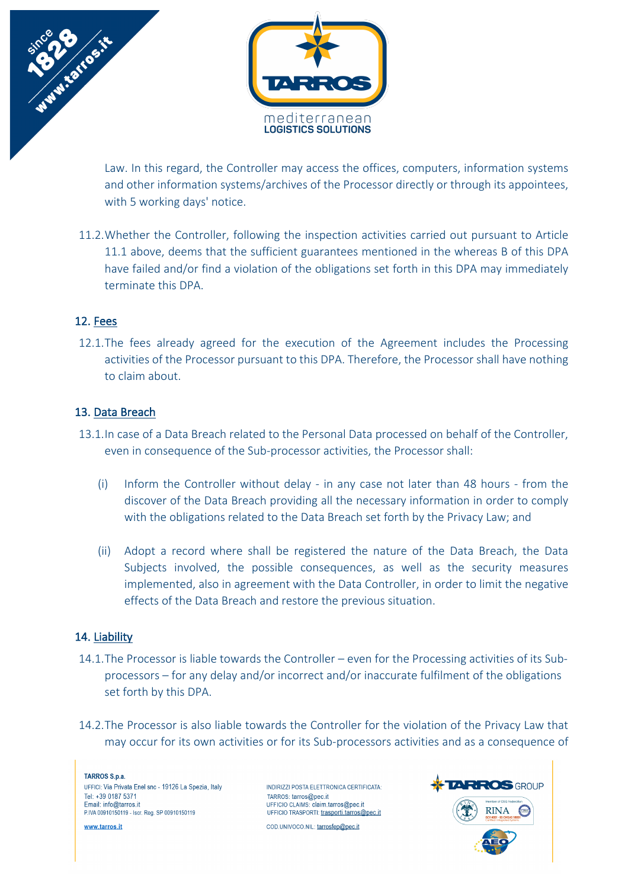

Law. In this regard, the Controller may access the offices, computers, information systems and other information systems/archives of the Processor directly or through its appointees, with 5 working days' notice.

11.2.Whether the Controller, following the inspection activities carried out pursuant to Article 11.1 above, deems that the sufficient guarantees mentioned in the whereas B of this DPA have failed and/or find a violation of the obligations set forth in this DPA may immediately terminate this DPA.

#### 12. Fees

12.1.The fees already agreed for the execution of the Agreement includes the Processing activities of the Processor pursuant to this DPA. Therefore, the Processor shall have nothing to claim about.

#### 13. Data Breach

- 13.1.In case of a Data Breach related to the Personal Data processed on behalf of the Controller, even in consequence of the Sub-processor activities, the Processor shall:
	- (i) Inform the Controller without delay in any case not later than 48 hours from the discover of the Data Breach providing all the necessary information in order to comply with the obligations related to the Data Breach set forth by the Privacy Law; and
	- (ii) Adopt a record where shall be registered the nature of the Data Breach, the Data Subjects involved, the possible consequences, as well as the security measures implemented, also in agreement with the Data Controller, in order to limit the negative effects of the Data Breach and restore the previous situation.

### 14. Liability

- 14.1.The Processor is liable towards the Controller even for the Processing activities of its Subprocessors – for any delay and/or incorrect and/or inaccurate fulfilment of the obligations set forth by this DPA.
- 14.2.The Processor is also liable towards the Controller for the violation of the Privacy Law that may occur for its own activities or for its Sub-processors activities and as a consequence of

**TARROS S.p.a.** UFFICI: Via Privata Enel snc - 19126 La Spezia, Italy Tel: +30 0187 5371 Email: info@tarros.it P.IVA 00910150119 - Iscr. Reg. SP 00910150119

www.tarros.it

INDIRIZZI POSTA ELETTRONICA CERTIFICATA: TARROS: tarros@pec.it UFFICIO CLAIMS: claim.tarros@pec.it UFFICIO TRASPORTI: trasporti.tarros@pec.it